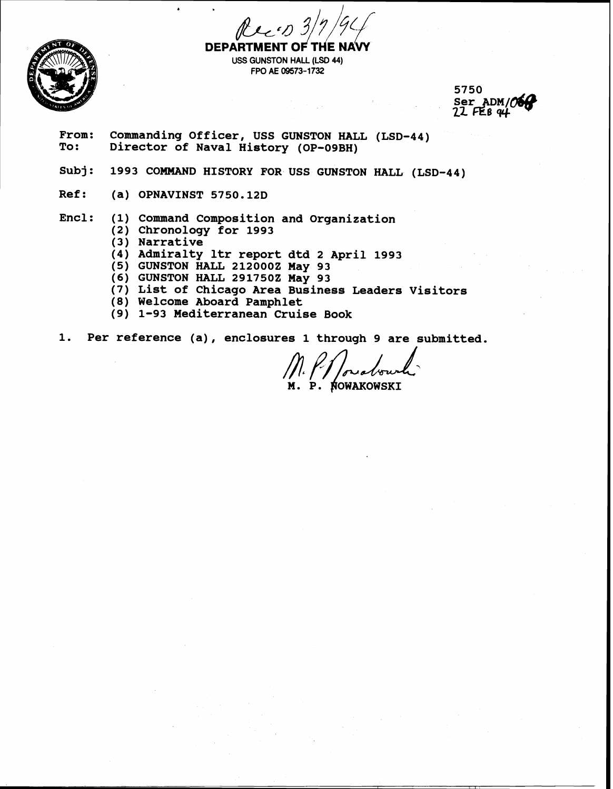

**DEPART USS GUNSTON HALL (LSD 44) FPO AE 09573-1732** 

5750<br>Ser ADM/**06**<br>22 FEB 94

From: Commanding Officer, USS GUNSTON HALL (LSD-44)<br>To: Director of Naval History (OP-09BH) **To: Director of Naval History (OP-O9BH)** 

- **subj** : **1993 COMMAND HISTORY FOR USS GUNSTON HALL (LSD-44)**
- **Ref: (a) OPNAVINST 5750.12D**

**b** 

**Encl: (1) Command Composition and Organization** 

- **(2) Chronology for 1993**
- **(3 Narrative**
- **(4) Admiralty ltr report dtd 2 April 1993**
- **(5) GUNSTON HALL 2120002 May 93**
- **(6) GUNSTON HALL 2917502 May 93**
- **(7) List of Chicago Area Business Leaders Visitors**
- **(8) Welcome Aboard Pamphlet**
- **(9) 1-93 Mediterranean Cruise Book**
- **1. Per reference (a), enclosures 1 through 9 are submitted.**

NOWAKOWSKI Ρ.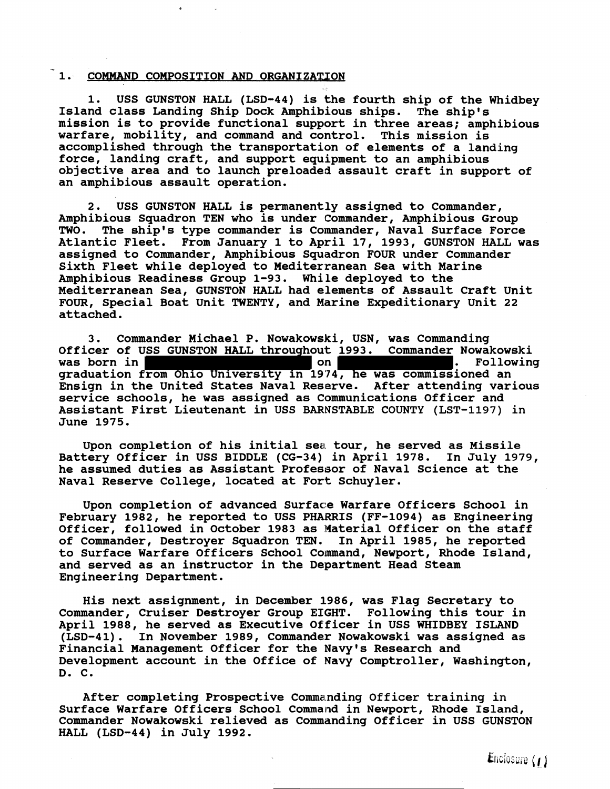# 1. COMMAND COMPOSITION AND ORGANIZATION

**1. USS GUNSTON HALL (LSD-44) is the fourth ship of the Whidbey Island class Landing Ship Dock Amphibious ships. The ship's mission is to provide functional support in three areas; amphibious warfare, mobility, and command and control. This mission is accomplished through the transportation of elements of a landing force, landing craft, and support equipment to an amphibious objective area and to launch preloaded assault craft in support of an amphibious assault operation.** 

**2. USS GUNSTON HALL is permanently assigned to Commander, Amphibious Squadron TEN who is under Commander, Amphibious Group TWO. The ship's type commander is Commander, Naval Surface Force Atlantic Fleet. From January 1 to April 17, 1993, GUNSTON HALL was assigned to Commander, Amphibious Squadron FOUR under Commander Sixth Fleet while deployed to Mediterranean Sea with Marine Amphibious Readiness Group 1-93. While deployed to the Mediterranean Sea, GUNSTON HALL had elements of Assault Craft Unit FOUR, Special Boat Unit TWENTY, and Marine Expeditionary Unit 22 attached.** 

**3. Commander Michael P. Nowakowski, USN, was Commanding**  Officer of USS GUNSTON HALL throughout 1993. Commander Nowakowski<br>was born in was born in **the set of the set on the set on the set of the set on the set of the set of the set of the set of the set of the set of the set of the set of the set of the set of the set of the set of the set of the set of graduation from Ohio University in 19'74, he was commissioned an Ensign in the United States Naval Reserve. After attending various service schools, he was assigned as Communications Officer and Assistant First Lieutenant in USS BARNSTABLE COUNTY (LST-1197) in June 1975.** 

**Upon completion of his initial sea tour, he served as Missile Battery Officer in USS BIDDLE (CG-34) in April 1978. In July 1979, he assumed duties as Assistant Professor of Naval Science at the Naval Reserve College, located at Fort Schuyler.** 

**Upon completion of advanced Surface Warfare Officers School in February 1982, he reported to USS PHARRIS (FF-1094) as Engineering Officer, followed in October 1983 as Material Officer on the staff of Commander, Destroyer Squadron TEN. In April 1985, he reported to Surface Warfare Officers School Command, Newport, Rhode Island, and served as an instructor in the Department Head Steam Engineering Department.** 

**His next assignment, in December 1986, was Flag Secretary to Commander, Cruiser Destroyer Group EIGHT. Following this tour in April 1988, he served as Executive Officer in USS WHIDBEY ISLAND (LSD-41). In November 1989, Commander Nowakowski was assigned as Financial Management Officer for the Navy's Research and Development account in the Office of Navy Comptroller, Washington, D. C.** 

**After completing Prospective Comma.nding Officer training in Surface Warfare Officers School Command in Newport, Rhode Island, Commander Nowakowski relieved as Commanding Officer in USS GUNSTON HALL (LSD-44) in July 1992.**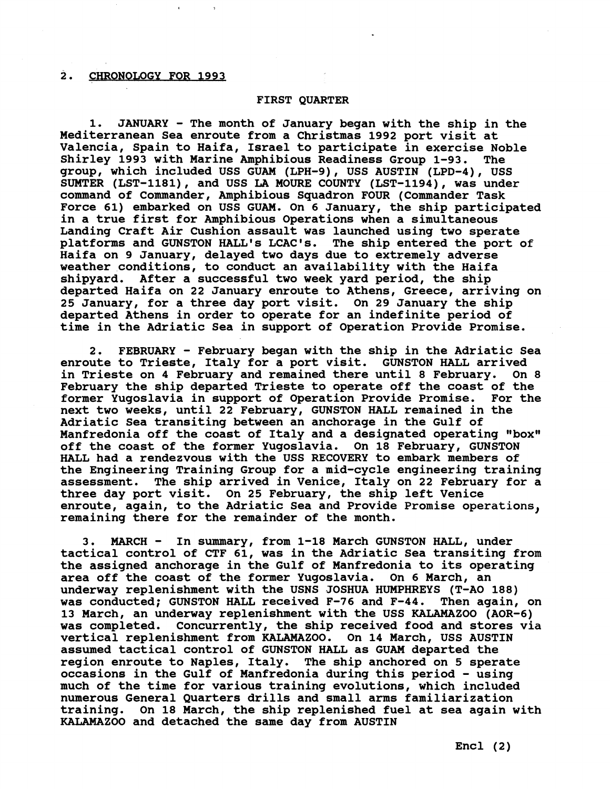# **2. CHRONOLOGY FOR 1993**

# **FIRST QUARTER**

**1. JANUARY** - **The month of January began with the ship in the Mediterranean Sea enroute from a Christmas 1992 port visit at Valencia, Spain to Haifa, Israel to participate in exercise Noble Shirley 1993 with Marine Amphibious Readiness Group 1-93. The group, which included USS GUAM (LPH-9), USS AUSTIN (LPD-4), USS SUMTER (LST-1181), and USS LA MOURE COUNTY (LST-1194), was under command of Commander, Amphibious Squadron FOUR (Commander Task Force 61) embarked on USS GUAM. On 6 January, the ship participated in a true first for Amphibious Operations when a simultaneous Landing Craft Air Cushion assault was launched using two sperate platforms and GUNSTON HALL'S LCAC's. The ship entered the port of Haifa on 9 January, delayed two days due to extremely adverse weather conditions, to conduct an availability with the Haifa shipyard. After a successful two week yard period, the ship departed Haifa on 22 January enroute to Athens, Greece, arriving on 25 January, for a three day port visit. On 29 January the ship departed Athens in order to operate for an indefinite period of time in the Adriatic Sea in support of Operation Provide Promise.** 

**2. FEBRUARY** - **February began with the ship in the Adriatic Sea enroute to Trieste, Italy for a port visit. GUNSTON HALL arrived in Trieste on 4 February and remained there until 8 February. On 8 February the ship departed Trieste to operate off the coast of the former Yugoslavia in support of Operation Provide Promise. For the next two weeks, until 22 February, GUNSTON HALL remained in the Adriatic Sea transiting between an anchorage in the Gulf of**  Manfredonia off the coast of Italy and a designated operating "box" **off the coast of the former Yugoslavia. On 18 February, GUNSTON HALL had a rendezvous with the USS RECOVERY to embark members of the Engineering Training Group for a mid-cycle engineering training assessment. The ship arrived in Venice, Italy on 22 February for a three day port visit. On 25 February, the ship left Venice enroute, again, to the Adriatic Sea and Provide Promise operations, remaining there for the remainder of the month.** 

**3. MARCH** - **In summary, from 1-18 March GUNSTON HALL, under tactical control of CTF 61, was in the Adriatic Sea transiting from the assigned anchorage in the Gulf of Manfredonia to its operating area off the coast of the former Yugoslavia. On 6 March, an underway replenishment with the USNS JOSHUA HUMPHREYS (T-A0 188) was conducted; GUNSTON HALL received F-76 and F-44. Then again, on 13 March, an underway replenishment with the USS KALAMAZOO (AOR-6) was completed. Concurrently, the ship received food and stores via vertical replenishment from KALAMAZOO. On 14 March, USS AUSTIN assumed tactical control of GUNSTON HALL as GUAM departed the region enroute to Naples, Italy. The ship anchored on 5 sperate occasions in the Gulf of Manfredonia during this period** - **using much of the time for various training evolutions, which included numerous General Quarters drills and small arms familiarization training. On 18 March, the ship replenished fuel at sea again with KALAMAZOO and detached the same day from AUSTIN**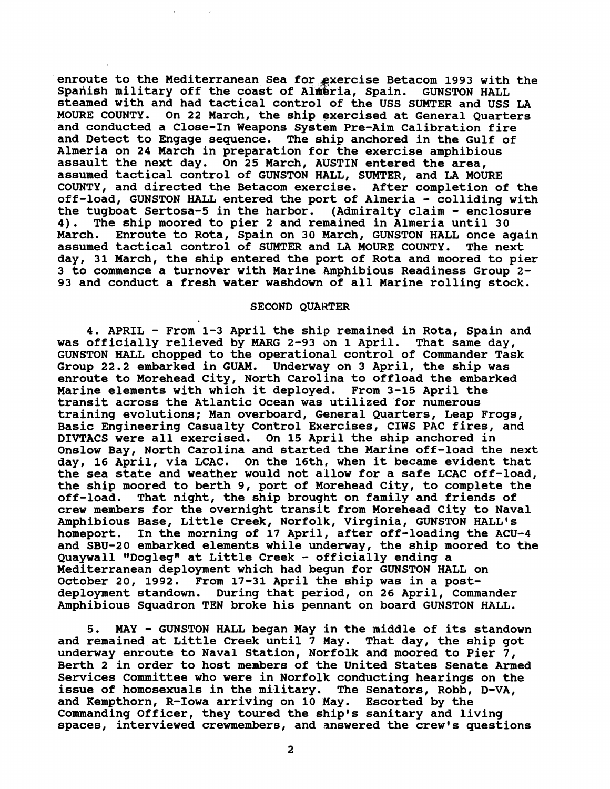enroute to the Mediterranean Sea for exercise Betacom 1993 with the Spanish military off the coast of Almeria, Spain. GUNSTON HALL **steamed with and had tactical control of the USS SUMTER and USS LA MOURE COUNTY. On 22 March, the ship exercised at General Quarters and conducted a Close-In Weapons System Pre-Aim Calibration fire and Detect to Engage sequence. The ship anchored in the Gulf of Almeria on 24 March in preparation for the exercise amphibious assault the next day. On 25 March, AUSTIN entered the area, assumed tactical control of GUNSTON HALL, SUMTER, and LA MOURE COUNTY, and directed the Betacom exercise. After completion of the off-load, GUNSTON HALL entered the port of Almeria** - **colliding with the tugboat Sertosa-5 in the harbor. (Admiralty claim** - **enclosure 4). The ship moored to pier 2 and remained in Almeria until 30 March. Enroute to Rota, Spain on 30 March, GUNSTON HALL once again assumed tactical control of SUMTER and LA MOURE COUNTY. The next day, 31 March, the ship entered the port of Rota and moored to pier 3 to commence a turnover with Marine Amphibious Readiness Group 2-**93 and conduct a fresh water washdown of all Marine rolling stock.

#### **SECOND QUARTER**

**4. APRIL** - **From 1-3 April the ship remained in Rota, Spain and was officially relieved by MARG 2-93 on 1 April. That same day, GUNSTON HALL chopped to the operational control of Commander Task Group 22.2 embarked in GUAM. Underway on 3 April, the ship was enroute to Morehead City, North Carolina to offload the embarked Marine elements with which it deployed. From 3-15 April the transit across the Atlantic Ocean was utilized for numerous training evolutions; Man overboard, General Quarters, Leap Frogs, Basic Engineering Casualty Control Exercises, CIWS PAC fires, and DIVTACS were all exercised. On 15 April the ship anchored in Onslow Bay, North Carolina and started the Marine off-load the next day, 16 April, via LCAC. On the 16th, when it became evident that the sea state and weather would not allow for a safe LCAC off-load, the ship moored to berth 9, port of Morehead City, to complete the off-load. That night, the ship brought on family and friends of**  crew members for the overnight transit from Morehead City to Naval **Amphibious Base, Little Creek, Norfolk, Virginia, GUNSTON HALL'S homeport. In the morning of 17 April, after off-loading the ACU-4 and SBU-20 embarked elements while underway, the ship moored to the Quaywall "Dogleg" at Little Creek** - **officially ending a Mediterranean deployment which had begun for GUNSTON HALL on October 20, 1992. From 17-31 April the ship was in a postdeployment standown. During that period, on 26 April, Commander Amphibious Squadron TEN broke his pennant on board GUNSTON HALL.** 

**5. MAY** - **GUNSTON HALL began May in the middle of its standown and remained at Little Creek until 7 May. That day, the ship got underway enroute to Naval Station, Norfolk and moored to Pier 7, Berth 2 in order to host members of the United States Senate Armed Services Committee who were in Norfolk conducting hearings on the issue of homosexuals in the military. The Senators, Robb, D-VA, and Kempthorn, R-Iowa arriving on 10 May. Escorted by the Commanding Officer, they toured the ship's sanitary and living spaces, interviewed crewmembers, and answered the crew's questions**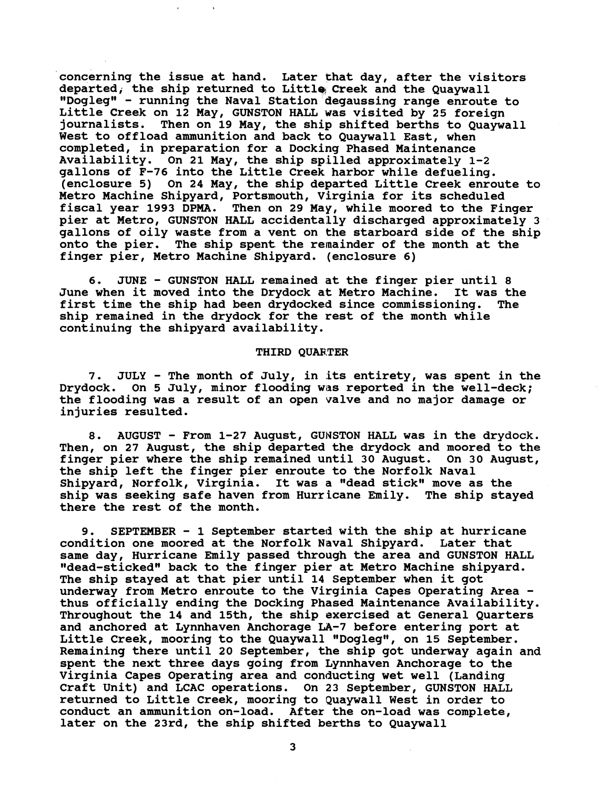**concerning the issue at hand. Later that day, after the visitors**  departed, the ship returned to Little Creek and the Quaywall **"Doglegw** - **running the Naval Station degaussing range enroute to Little Creek on 12 May, GUNSTON HALL was visited by 25 foreign**  Then on 19 May, the ship shifted berths to Quaywall **West to offload ammunition and back to Quaywall East, when completed, in preparation for a Docking Phased Maintenance Availability. On 21 May, the ship spilled approximately 1-2 gallons of F-76 into the Little Creek harbor while defueling. (enclosure 5) On 24 May, the ship departed Little Creek enroute to Metro Machine Shipyard, Portsmouth, Virginia for its scheduled fiscal year 1993 DPMA. Then on 29 May, while moored to the Finger pier at Metro, GUNSTON HALL accidentally discharged approximately 3 gallons of oily waste from a vent on the starboard side of the ship onto the pier. The ship spent the remainder of the month at the finger pier, Metro Machine Shipyard. (enclosure 6)** 

**6. JUNE** - **GUNSTON HALL remained at the finger pier until 8**  June when it moved into the Drydock at Metro Machine. **first time the ship had been drydocked since commissioning. The ship remained in the drydock for the rest of the month while continuing the shipyard availability.** 

### **THIRD QUARTER**

**7. JULY** - **The month of July, in its entirety, was spent in the**  Drydock. On 5 July, minor flooding was reported in the well-deck; **the flooding was a result of an open valve and no major damage or injuries resulted.** 

**8. AUGUST** - **From 1-27 August, GUWSTON HALL was in the drydock. Then, on 27 August, the ship departed the drydock and moored to the finger pier where the ship remained until 30 August. On 30 August, the ship left the finger pier enroute to the Norfolk Naval**  Shipyard, Norfolk, Virginia. It was a "dead stick" move as the **ship was seeking safe haven from Hurricane Emily. The ship stayed there the rest of the month.** 

**9. SEPTEMBER** - **1 September started with the ship at hurricane condition one moored at the Norfolk Naval Shipyard. Later that same day, Hurricane Emily passed through the area and GUNSTON HALL**  "dead-sticked" back to the finger pier at Metro Machine shipyard. **The ship stayed at that pier until 14 September when it got underway from Metro enroute to the Virginia Capes Operating Area thus officially ending the Docking Phased Maintenance Availability. Throughout the 14 and 15th, the ship exercised at General Quarters and anchored at Lynnhaven Anchorage LA-7 before entering port at**  Little Creek, mooring to the Quaywall "Dogleg", on 15 September. **Remaining there until 20 September, the ship got underway again and spent the next three days going from Lynnhaven Anchorage to the Virginia Capes Operating area and conducting wet well (Landing Craft Unit) and LCAC operations. On 23 September, GUNSTON HALL returned to Little Creek, mooring to Quaywall West in order to conduct an ammunition on-load. After the on-load was complete, later on the 23rd, the ship shifted berths to Quaywall** 

3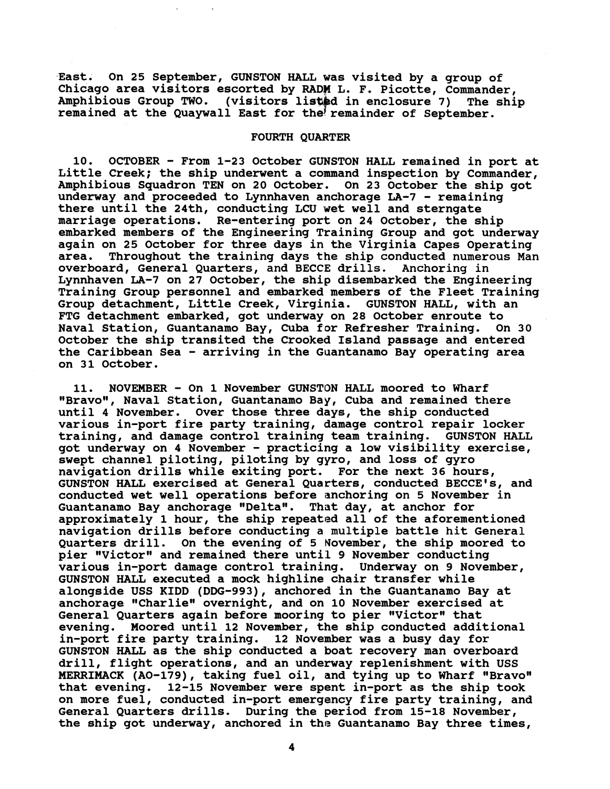East. On 25 September, GUNSTON HALL was visited by a group of **Chicago area visitors escorted by RADW L. F. Picotte, Commander,**  Amphibious Group TWO. (visitors listed in enclosure 7) The ship remained at the Quaywall East for the remainder of September.

# **FOURTH QUARTER**

**10. OCTOBER** - **From 1-23 October GUNSTON HALL remained in port at Little Creek; the ship underwent a command inspection by Commander, Amphibious Squadron TEN on 20 October. On 23 October the ship got underway and proceeded to Lynnhaven anchorage LA-7** - **remaining there until the 24th, conducting LCU wet well and sterngate marriage operations. Re-entering port on 24 October, the ship embarked members of the Engineering Training Group and got underway again on 25 October for three days in the Virginia Capes Operating area. Throughout the training days the ship conducted numerous Man overboard, General Quarters, and BECCE drills. Anchoring in Lynnhaven LA-7 on 27 October, the ship disembarked the Engineering Training Group personnel and embarked members of the Fleet Training Group detachment, Little Creek, Virginia. GUNSTON HALL, with an FTG detachment embarked, got underway on 28 October enroute to Naval Station, Guantanamo Bay, Cuba for Refresher Training. On 30 October the ship transited the Crooked Island passage and entered the Caribbean Sea** - **arriving in the Guantanamo Bay operating area on 31 October.** 

**11. NOVEMBER** - **On 1 November GUNSTON HALL moored to Wharf**  "Bravo", Naval Station, Guantanamo Bay, Cuba and remained there **until 4 November. Over those three days, the ship conducted various in-port fire party training, damage control repair locker training, and damage control training team training. GUNSTON HALL got underway on 4 November** - **practicing a low visibility exercise, swept channel piloting, piloting by gyro, and loss of gyro navigation drills while exiting port. For the next 36 hours, GUNSTON HALL exercised at General Quarters, conducted BECCE1s, and conducted wet well operations before anchoring on 5 November in**  Guantanamo Bay anchorage "Delta". That day, at anchor for **approximately 1 hour, the ship repeated all of the aforementioned navigation drills before conducting a multiple battle hit General Quarters drill. On the evening of 5 November, the ship moored to**  pier "Victor" and remained there until 9 November conducting **various in-port damage control training. Underway on 9 November,**  GUNSTON HALL executed a mock highline chair transfer while **alongside USS KIDD (DDG-993), anchored in the Guantanamo Bay at**  anchorage "Charlie" overnight, and on 10 November exercised at General Quarters again before mooring to pier "Victor" that **evening. Moored until 12 November, the ship conducted additional in-port fire party training. 12 November was a busy day for GUNSTON HALL as the ship conducted a boat recovery man overboard drill, flight operations, and an underway replenishment with USS MERRIMACK (AO-179), taking fuel oil, and tying up to Wharf "Bravo" that evening. 12-15 November were spent in-port as the ship took on more fuel, conducted in-port emergency fire party training, and General Quarters drills. During the period from 15-18 November, the ship got underway, anchored in the Guantanamo Bay three times,**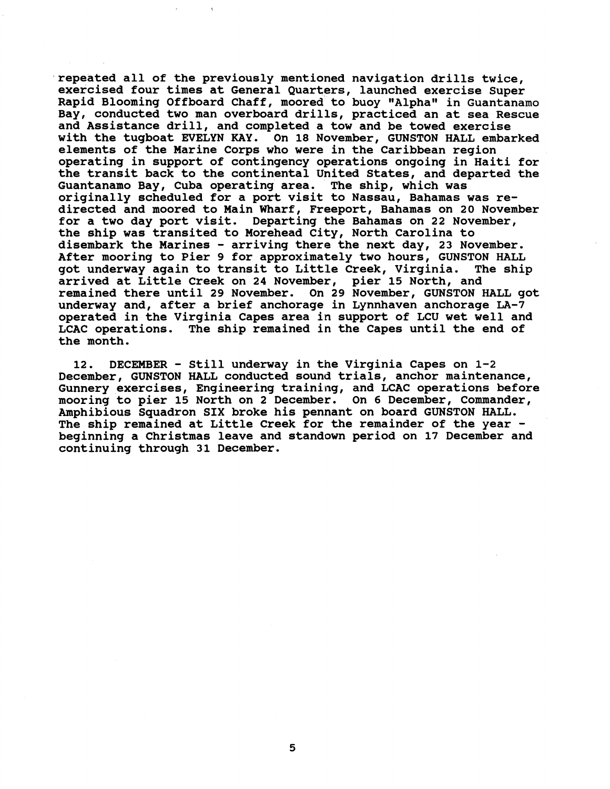**repeated all of the previously mentioned navigation drills twice, exercised four times at General Quarters, launched exercise Super**  Rapid Blooming Offboard Chaff, moored to buoy "Alpha" in Guantanamo **Bay, conducted two man overboard drills, practiced an at sea Rescue and Assistance drill, and completed a tow and be towed exercise with the tugboat EVELYN KAY. On 18 November, GUNSTON HALL embarked elements of the Marine Corps who were in the Caribbean region operating in support of contingency operations ongoing in Haiti for the transit back to the continental United States, and departed the Guantanamo Bay, Cuba operating area. The ship, which was originally scheduled for a port visit to Nassau, Bahamas was redirected and moored to Main Wharf, Freeport, Bahamas on 20 November for a two day port visit. Departing the Bahamas on 22 November, the ship was transited to Morehead City, North Carolina to disembark the Marines** - **arriving there the next day, 23 November. After mooring to Pier 9 for approximately two hours, GUNSTON HALL**  got underway again to transit to Little Creek, Virginia. **arrived at Little Creek on 24 November, pier 15 North, and remained there until 29 November. On 29 November, GUNSTON HALL got**  underway and, after a brief anchorage in Lynnhaven anchorage LA-7 **operated in the Virginia Capes area in support of LCU wet well and LCAC operations. The ship remained in the Capes until the end of the month.** 

**12. DECEMBER** - **Still underway in the Virginia Capes on 1-2 December, GUNSTON HALL conducted sound trials, anchor maintenance, Gunnery exercises, Engineering training, and LCAC operations before mooring to pier 15 North on 2 December. On 6 December, Commander, Amphibious Squadron SIX broke his pennant on board GUNSTON HALL. The ship remained at Little Creek for the remainder of the year beginning a Christmas leave and standown period on 17 December and continuing through 31 December.**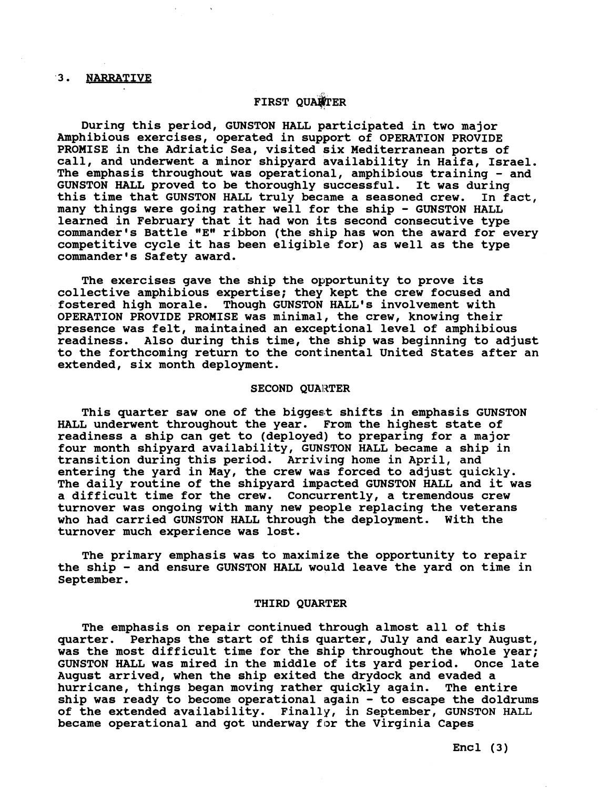# 3. NARRATIVE

# **FIRST QUALTER**

**During this period, GUNSTON HALL participated in two major Amphibious exercises, operated in support of OPERATION PROVIDE PROMISE in the Adriatic Sea, visited six Mediterranean ports of call, and underwent a minor shipyard availability in Haifa, Israel. The emphasis throughout was operational, amphibious training** - **and GUNSTON HALL proved to be thoroughly successful. It was during this time that GUNSTON HALL truly became a seasoned crew. In fact, many things were going rather well for the ship** - **GUNSTON HALL learned in February that it had won its second consecutive type commander's Battle "EW ribbon (the ship has won the award for every competitive cycle it has been eligible for) as well as the type**  commander's Safety award.

**The exercises gave the ship the opportunity to prove its collective amphibious expertise; they kept the crew focused and fostered high morale. Though GUNSTON HALL'S involvement with OPERATION PROVIDE PROMISE was minimal, the crew, knowing their presence was felt, maintained an exceptional level of amphibious readiness. Also during this time, the ship was beginning to adjust to the forthcoming return to the continental United States after an extended, six month deployment.** 

### **SECOND QUARTER**

**This quarter saw one of the biggest shifts in emphasis GUNSTON HALL underwent throughout the year. From the highest state of readiness a ship can get to (deployed) to preparing for a major four month shipyard availability, GUNSTON HALL became a ship in transition during this period. Arriving home in April, and entering the yard in May, the crew was forced to adjust quickly. The daily routine of the shipyard impacted GUNSTON HALL and it was a difficult time for the crew. Concurrently, a tremendous crew turnover was ongoing with many new people replacing the veterans who had carried GUNSTON HALL through the deployment. With the turnover much experience was lost.** 

**The primary emphasis was to maximize the opportunity to repair the ship** - **and ensure GUNSTON HALL would leave the yard on time in September.** 

# **THIRD QUARTER**

**The emphasis on repair continued through almost all of this quarter. Perhaps the start of this quarter, July and early August, was the most difficult time for the ship throughout the whole year; GUNSTON HALL was mired in the middle of its yard period. Once late August arrived, when the ship exited the drydock and evaded a hurricane, things began moving rather quickly again. The entire ship was ready to become operational again** - **to escape the doldrums of the extended availability. Finally, in September, GUNSTON HALL became operational and got underway for the Virginia Capes** 

**Encl (3)**